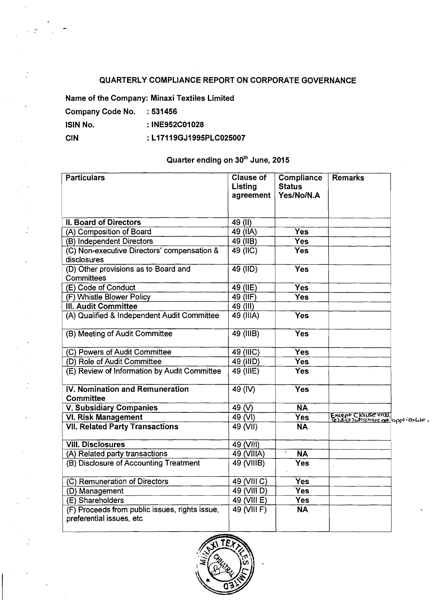## QUARTERLY COMPLIANCE REPORT ON CORPORATE GOVERNANCE

Name of the Company: Minaxi Textiles Limited

Company Code No. : 531456 lSlN No. :INE952C01028

CIN : L17119GJ1995PLC025007

## Quarter ending on 30<sup>th</sup> June, 2015

| <b>Particulars</b>                                                         | <b>Clause of</b><br><b>Listing</b><br>agreement | Compliance<br><b>Status</b><br>Yes/No/N.A | <b>Remarks</b>                                          |  |
|----------------------------------------------------------------------------|-------------------------------------------------|-------------------------------------------|---------------------------------------------------------|--|
| <b>II. Board of Directors</b>                                              | $49$ (II)                                       |                                           |                                                         |  |
| (A) Composition of Board                                                   | $49$ (IIA)                                      | Yes                                       |                                                         |  |
| (B) Independent Directors                                                  | 49 (IIB)                                        | <b>Yes</b>                                |                                                         |  |
| (C) Non-executive Directors' compensation &<br>disclosures                 | 49 (IIC)                                        | Yes                                       |                                                         |  |
| (D) Other provisions as to Board and<br>Committees                         | $49$ (IID)                                      | Yes                                       |                                                         |  |
| (E) Code of Conduct                                                        | $49$ (IIE)                                      | Yes                                       |                                                         |  |
| (F) Whistle Blower Policy                                                  | $49$ (IIF)                                      | Yes                                       |                                                         |  |
| <b>III. Audit Committee</b>                                                | 49 (III)                                        |                                           |                                                         |  |
| (A) Qualified & Independent Audit Committee                                | 49 (IIIA)                                       | <b>Yes</b>                                |                                                         |  |
| (B) Meeting of Audit Committee                                             | 49 (IIIB)                                       | Yes                                       |                                                         |  |
| (C) Powers of Audit Committee                                              | $\overline{49}$ (IIIC)                          | <b>Yes</b>                                |                                                         |  |
| (D) Role of Audit Committee                                                | 49 (IIID)                                       | <b>Yes</b>                                |                                                         |  |
| (E) Review of Information by Audit Committee                               | 49 (IIIE)                                       | <b>Yes</b>                                |                                                         |  |
| IV. Nomination and Remuneration<br><b>Committee</b>                        | $49$ (IV)                                       | <b>Yes</b>                                |                                                         |  |
| <b>V. Subsidiary Companies</b>                                             | 49 $\overline{(V)}$                             | $\overline{\mathsf{NA}}$                  |                                                         |  |
| <b>VI. Risk Management</b>                                                 | $\overline{49}$ (VI)                            | <b>Yes</b>                                | Except Clause VICD,<br>Ce)&CE) whichare not applicable, |  |
| <b>VII. Related Party Transactions</b>                                     | 49 (VII)                                        | <b>NA</b>                                 |                                                         |  |
| <b>VIII. Disclosures</b>                                                   | 49 (VIII)                                       |                                           |                                                         |  |
| (A) Related party transactions                                             | 49 (VIIIA)                                      | <b>NA</b>                                 |                                                         |  |
| (B) Disclosure of Accounting Treatment                                     | 49 (VIIIB)                                      | Yes                                       |                                                         |  |
| (C) Remuneration of Directors                                              | 49 (VIII C)                                     | <b>Yes</b>                                |                                                         |  |
| (D) Management                                                             | 49 (VIII D)                                     | Yes                                       |                                                         |  |
| (E) Shareholders                                                           | 49 (VIII E)                                     | $\overline{Yes}$                          |                                                         |  |
| (F) Proceeds from public issues, rights issue,<br>preferential issues, etc | 49 (VIII F)                                     | <b>NA</b>                                 |                                                         |  |